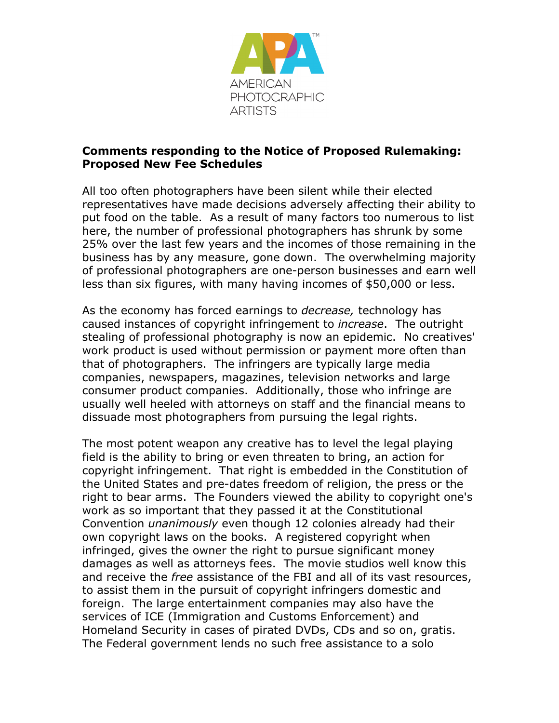

## **Comments responding to the Notice of Proposed Rulemaking: Proposed New Fee Schedules**

All too often photographers have been silent while their elected representatives have made decisions adversely affecting their ability to put food on the table. As a result of many factors too numerous to list here, the number of professional photographers has shrunk by some 25% over the last few years and the incomes of those remaining in the business has by any measure, gone down. The overwhelming majority of professional photographers are one-person businesses and earn well less than six figures, with many having incomes of \$50,000 or less.

As the economy has forced earnings to *decrease,* technology has caused instances of copyright infringement to *increase*. The outright stealing of professional photography is now an epidemic. No creatives' work product is used without permission or payment more often than that of photographers. The infringers are typically large media companies, newspapers, magazines, television networks and large consumer product companies. Additionally, those who infringe are usually well heeled with attorneys on staff and the financial means to dissuade most photographers from pursuing the legal rights.

The most potent weapon any creative has to level the legal playing field is the ability to bring or even threaten to bring, an action for copyright infringement. That right is embedded in the Constitution of the United States and pre-dates freedom of religion, the press or the right to bear arms. The Founders viewed the ability to copyright one's work as so important that they passed it at the Constitutional Convention *unanimously* even though 12 colonies already had their own copyright laws on the books. A registered copyright when infringed, gives the owner the right to pursue significant money damages as well as attorneys fees. The movie studios well know this and receive the *free* assistance of the FBI and all of its vast resources, to assist them in the pursuit of copyright infringers domestic and foreign. The large entertainment companies may also have the services of ICE (Immigration and Customs Enforcement) and Homeland Security in cases of pirated DVDs, CDs and so on, gratis. The Federal government lends no such free assistance to a solo